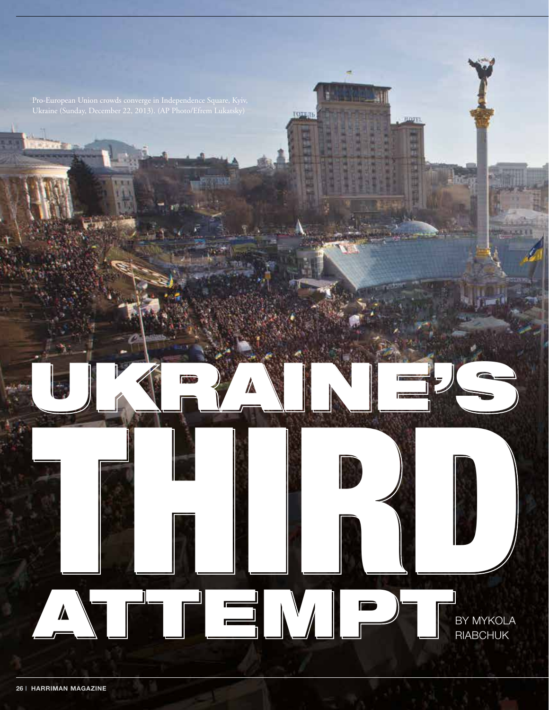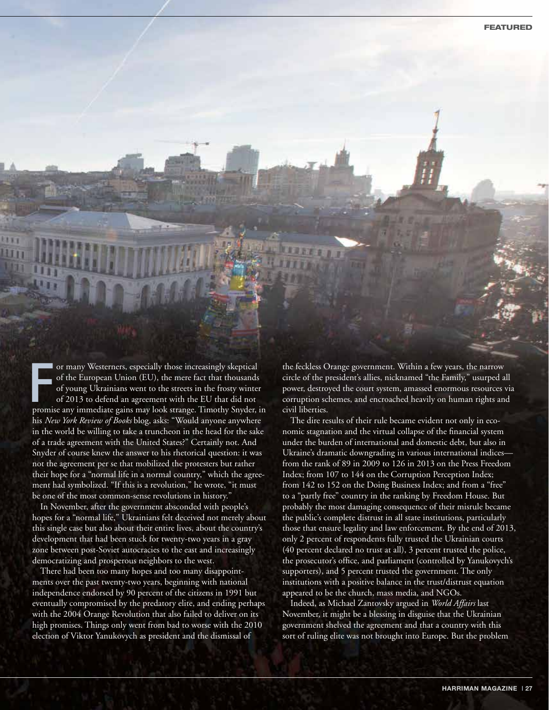or many Westerners, especially those increasingly skeptical<br>of the European Union (EU), the mere fact that thousands<br>of young Ukrainians went to the streets in the frosty winter<br>of 2013 to defend an agreement with the EU t or many Westerners, especially those increasingly skeptical of the European Union (EU), the mere fact that thousands of young Ukrainians went to the streets in the frosty winter of 2013 to defend an agreement with the EU that did not his *New York Review of Books* blog, asks: "Would anyone anywhere in the world be willing to take a truncheon in the head for the sake of a trade agreement with the United States?" Certainly not. And Snyder of course knew the answer to his rhetorical question: it was not the agreement per se that mobilized the protesters but rather their hope for a "normal life in a normal country," which the agreement had symbolized. "If this is a revolution," he wrote, "it must be one of the most common-sense revolutions in history.'

In November, after the government absconded with people's hopes for a "normal life," Ukrainians felt deceived not merely about this single case but also about their entire lives, about the country's development that had been stuck for twenty-two years in a gray zone between post-Soviet autocracies to the east and increasingly democratizing and prosperous neighbors to the west.

There had been too many hopes and too many disappointments over the past twenty-two years, beginning with national independence endorsed by 90 percent of the citizens in 1991 but eventually compromised by the predatory elite, and ending perhaps with the 2004 Orange Revolution that also failed to deliver on its high promises. Things only went from bad to worse with the 2010 election of Viktor Yanukovych as president and the dismissal of

the feckless Orange government. Within a few years, the narrow circle of the president's allies, nicknamed "the Family," usurped all power, destroyed the court system, amassed enormous resources via corruption schemes, and encroached heavily on human rights and civil liberties.

The dire results of their rule became evident not only in economic stagnation and the virtual collapse of the financial system under the burden of international and domestic debt, but also in Ukraine's dramatic downgrading in various international indices from the rank of 89 in 2009 to 126 in 2013 on the Press Freedom Index; from 107 to 144 on the Corruption Perception Index; from 142 to 152 on the Doing Business Index; and from a "free" to a "partly free" country in the ranking by Freedom House. But probably the most damaging consequence of their misrule became the public's complete distrust in all state institutions, particularly those that ensure legality and law enforcement. By the end of 2013, only 2 percent of respondents fully trusted the Ukrainian courts (40 percent declared no trust at all), 3 percent trusted the police, the prosecutor's office, and parliament (controlled by Yanukovych's supporters), and 5 percent trusted the government. The only institutions with a positive balance in the trust/distrust equation appeared to be the church, mass media, and NGOs.

Indeed, as Michael Zantovsky argued in *World Affairs* last November, it might be a blessing in disguise that the Ukrainian government shelved the agreement and that a country with this sort of ruling elite was not brought into Europe. But the problem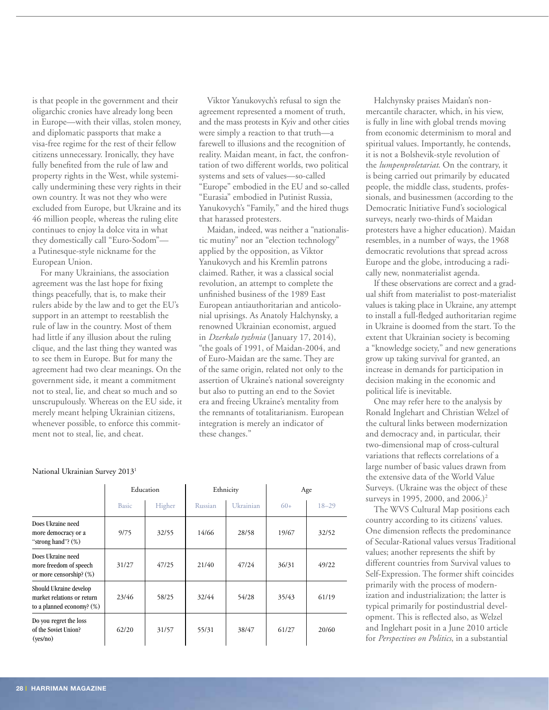is that people in the government and their oligarchic cronies have already long been in Europe—with their villas, stolen money, and diplomatic passports that make a visa-free regime for the rest of their fellow citizens unnecessary. Ironically, they have fully benefited from the rule of law and property rights in the West, while systemically undermining these very rights in their own country. It was not they who were excluded from Europe, but Ukraine and its 46 million people, whereas the ruling elite continues to enjoy la dolce vita in what they domestically call "Euro-Sodom" a Putinesque-style nickname for the European Union.

For many Ukrainians, the association agreement was the last hope for fixing things peacefully, that is, to make their rulers abide by the law and to get the EU's support in an attempt to reestablish the rule of law in the country. Most of them had little if any illusion about the ruling clique, and the last thing they wanted was to see them in Europe. But for many the agreement had two clear meanings. On the government side, it meant a commitment not to steal, lie, and cheat so much and so unscrupulously. Whereas on the EU side, it merely meant helping Ukrainian citizens, whenever possible, to enforce this commitment not to steal, lie, and cheat.

Viktor Yanukovych's refusal to sign the agreement represented a moment of truth, and the mass protests in Kyiv and other cities were simply a reaction to that truth—a farewell to illusions and the recognition of reality. Maidan meant, in fact, the confrontation of two different worlds, two political systems and sets of values—so-called "Europe" embodied in the EU and so-called "Eurasia" embodied in Putinist Russia, Yanukovych's "Family," and the hired thugs that harassed protesters.

Maidan, indeed, was neither a "nationalistic mutiny" nor an "election technology" applied by the opposition, as Viktor Yanukovych and his Kremlin patrons claimed. Rather, it was a classical social revolution, an attempt to complete the unfinished business of the 1989 East European antiauthoritarian and anticolonial uprisings. As Anatoly Halchynsky, a renowned Ukrainian economist, argued in *Dzerkalo tyzhnia* (January 17, 2014), "the goals of 1991, of Maidan-2004, and of Euro-Maidan are the same. They are of the same origin, related not only to the assertion of Ukraine's national sovereignty but also to putting an end to the Soviet era and freeing Ukraine's mentality from the remnants of totalitarianism. European integration is merely an indicator of these changes."

|                                                                                      | Education    |        | Ethnicity |           | Age   |           |
|--------------------------------------------------------------------------------------|--------------|--------|-----------|-----------|-------|-----------|
|                                                                                      | <b>Basic</b> | Higher | Russian   | Ukrainian | $60+$ | $18 - 29$ |
| Does Ukraine need<br>more democracy or a<br>"strong hand"? $(\%)$                    | 9/75         | 32/55  | 14/66     | 28/58     | 19/67 | 32/52     |
| Does Ukraine need<br>more freedom of speech<br>or more censorship? (%)               | 31/27        | 47/25  | 21/40     | 47/24     | 36/31 | 49/22     |
| Should Ukraine develop<br>market relations or return<br>to a planned economy? $(\%)$ | 23/46        | 58/25  | 32/44     | 54/28     | 35/43 | 61/19     |
| Do you regret the loss<br>of the Soviet Union?<br>(yes/no)                           | 62/20        | 31/57  | 55/31     | 38/47     | 61/27 | 20/60     |

## National Ukrainian Survey 20131

Halchynsky praises Maidan's nonmercantile character, which, in his view, is fully in line with global trends moving from economic determinism to moral and spiritual values. Importantly, he contends, it is not a Bolshevik-style revolution of the *lumpenproletariat*. On the contrary, it is being carried out primarily by educated people, the middle class, students, professionals, and businessmen (according to the Democratic Initiative Fund's sociological surveys, nearly two-thirds of Maidan protesters have a higher education). Maidan resembles, in a number of ways, the 1968 democratic revolutions that spread across Europe and the globe, introducing a radically new, nonmaterialist agenda.

If these observations are correct and a gradual shift from materialist to post-materialist values is taking place in Ukraine, any attempt to install a full-fledged authoritarian regime in Ukraine is doomed from the start. To the extent that Ukrainian society is becoming a "knowledge society," and new generations grow up taking survival for granted, an increase in demands for participation in decision making in the economic and political life is inevitable.

One may refer here to the analysis by Ronald Inglehart and Christian Welzel of the cultural links between modernization and democracy and, in particular, their two-dimensional map of cross-cultural variations that reflects correlations of a large number of basic values drawn from the extensive data of the World Value Surveys. (Ukraine was the object of these surveys in 1995, 2000, and 2006.)<sup>2</sup>

The WVS Cultural Map positions each country according to its citizens' values. One dimension reflects the predominance of Secular-Rational values versus Traditional values; another represents the shift by different countries from Survival values to Self-Expression. The former shift coincides primarily with the process of modernization and industrialization; the latter is typical primarily for postindustrial development. This is reflected also, as Welzel and Inglehart posit in a June 2010 article for *Perspectives on Politics*, in a substantial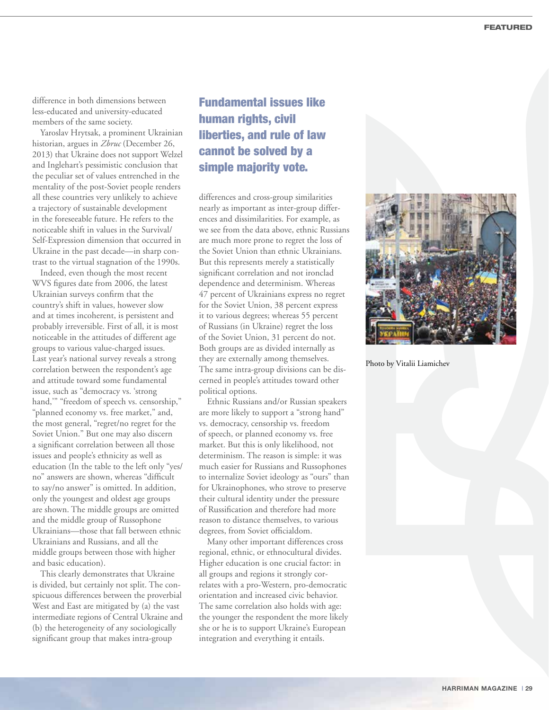difference in both dimensions between less-educated and university-educated members of the same society.

Yaroslav Hrytsak, a prominent Ukrainian historian, argues in *Zbruc* (December 26, 2013) that Ukraine does not support Welzel and Inglehart's pessimistic conclusion that the peculiar set of values entrenched in the mentality of the post-Soviet people renders all these countries very unlikely to achieve a trajectory of sustainable development in the foreseeable future. He refers to the noticeable shift in values in the Survival/ Self-Expression dimension that occurred in Ukraine in the past decade—in sharp contrast to the virtual stagnation of the 1990s.

Indeed, even though the most recent WVS figures date from 2006, the latest Ukrainian surveys confirm that the country's shift in values, however slow and at times incoherent, is persistent and probably irreversible. First of all, it is most noticeable in the attitudes of different age groups to various value-charged issues. Last year's national survey reveals a strong correlation between the respondent's age and attitude toward some fundamental issue, such as "democracy vs. 'strong hand,'" "freedom of speech vs. censorship," "planned economy vs. free market," and, the most general, "regret/no regret for the Soviet Union." But one may also discern a significant correlation between all those issues and people's ethnicity as well as education (In the table to the left only "yes/ no" answers are shown, whereas "difficult to say/no answer" is omitted. In addition, only the youngest and oldest age groups are shown. The middle groups are omitted and the middle group of Russophone Ukrainians—those that fall between ethnic Ukrainians and Russians, and all the middle groups between those with higher and basic education).

This clearly demonstrates that Ukraine is divided, but certainly not split. The conspicuous differences between the proverbial West and East are mitigated by (a) the vast intermediate regions of Central Ukraine and (b) the heterogeneity of any sociologically significant group that makes intra-group

## Fundamental issues like human rights, civil liberties, and rule of law cannot be solved by a simple majority vote.

differences and cross-group similarities nearly as important as inter-group differences and dissimilarities. For example, as we see from the data above, ethnic Russians are much more prone to regret the loss of the Soviet Union than ethnic Ukrainians. But this represents merely a statistically significant correlation and not ironclad dependence and determinism. Whereas 47 percent of Ukrainians express no regret for the Soviet Union, 38 percent express it to various degrees; whereas 55 percent of Russians (in Ukraine) regret the loss of the Soviet Union, 31 percent do not. Both groups are as divided internally as they are externally among themselves. The same intra-group divisions can be discerned in people's attitudes toward other political options.

Ethnic Russians and/or Russian speakers are more likely to support a "strong hand" vs. democracy, censorship vs. freedom of speech, or planned economy vs. free market. But this is only likelihood, not determinism. The reason is simple: it was much easier for Russians and Russophones to internalize Soviet ideology as "ours" than for Ukrainophones, who strove to preserve their cultural identity under the pressure of Russification and therefore had more reason to distance themselves, to various degrees, from Soviet officialdom.

Many other important differences cross regional, ethnic, or ethnocultural divides. Higher education is one crucial factor: in all groups and regions it strongly correlates with a pro-Western, pro-democratic orientation and increased civic behavior. The same correlation also holds with age: the younger the respondent the more likely she or he is to support Ukraine's European integration and everything it entails.



Photo by Vitalii Liamichev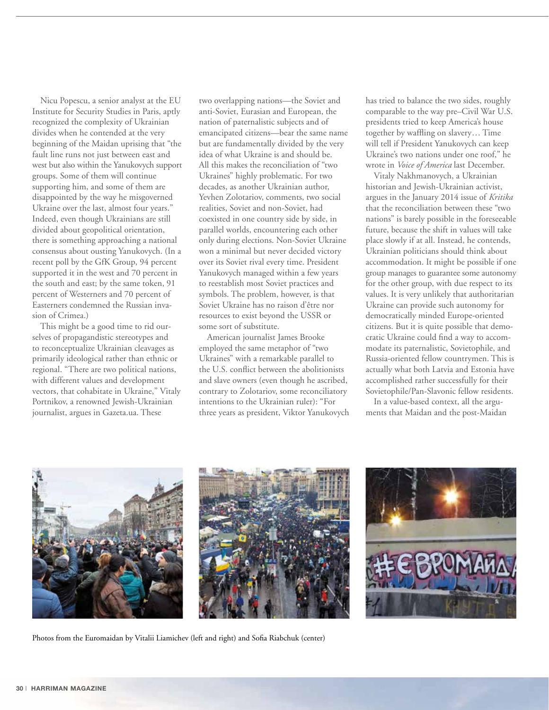Nicu Popescu, a senior analyst at the EU Institute for Security Studies in Paris, aptly recognized the complexity of Ukrainian divides when he contended at the very beginning of the Maidan uprising that "the fault line runs not just between east and west but also within the Yanukovych support groups. Some of them will continue supporting him, and some of them are disappointed by the way he misgoverned Ukraine over the last, almost four years." Indeed, even though Ukrainians are still divided about geopolitical orientation, there is something approaching a national consensus about ousting Yanukovych. (In a recent poll by the GfK Group, 94 percent supported it in the west and 70 percent in the south and east; by the same token, 91 percent of Westerners and 70 percent of Easterners condemned the Russian invasion of Crimea.)

This might be a good time to rid ourselves of propagandistic stereotypes and to reconceptualize Ukrainian cleavages as primarily ideological rather than ethnic or regional. "There are two political nations, with different values and development vectors, that cohabitate in Ukraine," Vitaly Portnikov, a renowned Jewish-Ukrainian journalist, argues in Gazeta.ua. These

two overlapping nations—the Soviet and anti-Soviet, Eurasian and European, the nation of paternalistic subjects and of emancipated citizens—bear the same name but are fundamentally divided by the very idea of what Ukraine is and should be. All this makes the reconciliation of "two Ukraines" highly problematic. For two decades, as another Ukrainian author, Yevhen Zolotariov, comments, two social realities, Soviet and non-Soviet, had coexisted in one country side by side, in parallel worlds, encountering each other only during elections. Non-Soviet Ukraine won a minimal but never decided victory over its Soviet rival every time. President Yanukovych managed within a few years to reestablish most Soviet practices and symbols. The problem, however, is that Soviet Ukraine has no raison d'être nor resources to exist beyond the USSR or some sort of substitute.

American journalist James Brooke employed the same metaphor of "two Ukraines" with a remarkable parallel to the U.S. conflict between the abolitionists and slave owners (even though he ascribed, contrary to Zolotariov, some reconciliatory intentions to the Ukrainian ruler): "For three years as president, Viktor Yanukovych has tried to balance the two sides, roughly comparable to the way pre–Civil War U.S. presidents tried to keep America's house together by waffling on slavery… Time will tell if President Yanukovych can keep Ukraine's two nations under one roof," he wrote in *Voice of America* last December.

Vitaly Nakhmanovych, a Ukrainian historian and Jewish-Ukrainian activist, argues in the January 2014 issue of *Kritika* that the reconciliation between these "two nations" is barely possible in the foreseeable future, because the shift in values will take place slowly if at all. Instead, he contends, Ukrainian politicians should think about accommodation. It might be possible if one group manages to guarantee some autonomy for the other group, with due respect to its values. It is very unlikely that authoritarian Ukraine can provide such autonomy for democratically minded Europe-oriented citizens. But it is quite possible that democratic Ukraine could find a way to accommodate its paternalistic, Sovietophile, and Russia-oriented fellow countrymen. This is actually what both Latvia and Estonia have accomplished rather successfully for their Sovietophile/Pan-Slavonic fellow residents.

In a value-based context, all the arguments that Maidan and the post-Maidan



Photos from the Euromaidan by Vitalii Liamichev (left and right) and Sofia Riabchuk (center)